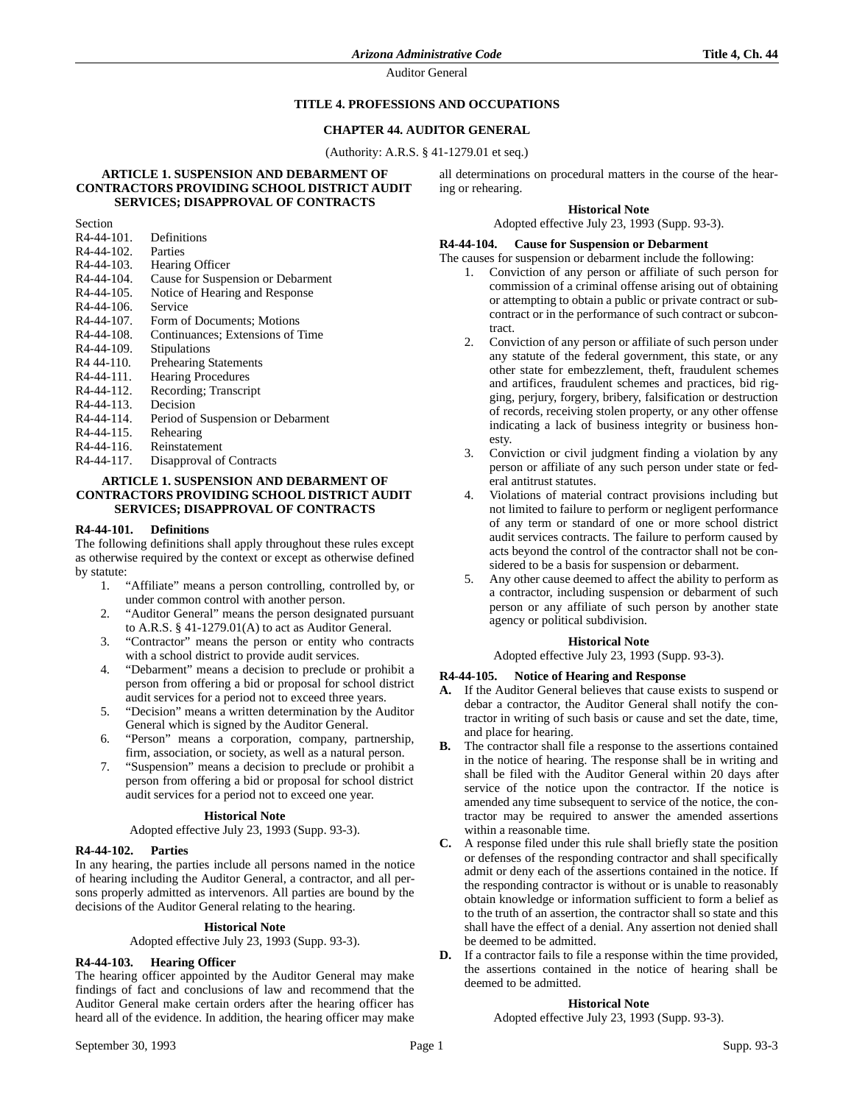Auditor General

### **TITLE 4. PROFESSIONS AND OCCUPATIONS**

### **CHAPTER 44. AUDITOR GENERAL**

(Authority: A.R.S. § 41-1279.01 et seq.)

#### **ARTICLE 1. SUSPENSION AND DEBARMENT OF CONTRACTORS PROVIDING SCHOOL DISTRICT AUDIT SERVICES; DISAPPROVAL OF CONTRACTS**

Section<br>R4-44-101.

Definitions<br>Parties  $R4-44-102$ . R4-44-103. Hearing Officer<br>R4-44-104. Cause for Suspe R4-44-104. Cause for Suspension or Debarment<br>R4-44-105. Notice of Hearing and Response Notice of Hearing and Response R4-44-106. Service<br>R4-44-107. Form of Form of Documents; Motions R4-44-108. Continuances; Extensions of Time R4-44-109. Stipulations<br>R4 44-110. Prehearing S R4 44-110. Prehearing Statements<br>R4-44-111. Hearing Procedures Hearing Procedures R4-44-112. Recording; Transcript R4-44-113. Decision<br>R4-44-114. Period of Period of Suspension or Debarment R4-44-115. Rehearing R4-44-116. Reinstatement R4-44-117. Disapproval of Contracts

#### **ARTICLE 1. SUSPENSION AND DEBARMENT OF CONTRACTORS PROVIDING SCHOOL DISTRICT AUDIT SERVICES; DISAPPROVAL OF CONTRACTS**

#### **R4-44-101. Definitions**

The following definitions shall apply throughout these rules except as otherwise required by the context or except as otherwise defined by statute:

- 1. "Affiliate" means a person controlling, controlled by, or under common control with another person.
- 2. "Auditor General" means the person designated pursuant to A.R.S. § 41-1279.01(A) to act as Auditor General.
- 3. "Contractor" means the person or entity who contracts with a school district to provide audit services.
- 4. "Debarment" means a decision to preclude or prohibit a person from offering a bid or proposal for school district audit services for a period not to exceed three years.
- 5. "Decision" means a written determination by the Auditor General which is signed by the Auditor General.
- 6. "Person" means a corporation, company, partnership, firm, association, or society, as well as a natural person.
- 7. "Suspension" means a decision to preclude or prohibit a person from offering a bid or proposal for school district audit services for a period not to exceed one year.

#### **Historical Note**

Adopted effective July 23, 1993 (Supp. 93-3).

## **R4-44-102. Parties**

In any hearing, the parties include all persons named in the notice of hearing including the Auditor General, a contractor, and all persons properly admitted as intervenors. All parties are bound by the decisions of the Auditor General relating to the hearing.

#### **Historical Note**

Adopted effective July 23, 1993 (Supp. 93-3).

## **R4-44-103. Hearing Officer**

The hearing officer appointed by the Auditor General may make findings of fact and conclusions of law and recommend that the Auditor General make certain orders after the hearing officer has heard all of the evidence. In addition, the hearing officer may make

all determinations on procedural matters in the course of the hearing or rehearing.

#### **Historical Note**

Adopted effective July 23, 1993 (Supp. 93-3).

### **R4-44-104. Cause for Suspension or Debarment**

The causes for suspension or debarment include the following:

- 1. Conviction of any person or affiliate of such person for commission of a criminal offense arising out of obtaining or attempting to obtain a public or private contract or subcontract or in the performance of such contract or subcontract.
- 2. Conviction of any person or affiliate of such person under any statute of the federal government, this state, or any other state for embezzlement, theft, fraudulent schemes and artifices, fraudulent schemes and practices, bid rigging, perjury, forgery, bribery, falsification or destruction of records, receiving stolen property, or any other offense indicating a lack of business integrity or business honesty.
- 3. Conviction or civil judgment finding a violation by any person or affiliate of any such person under state or federal antitrust statutes.
- 4. Violations of material contract provisions including but not limited to failure to perform or negligent performance of any term or standard of one or more school district audit services contracts. The failure to perform caused by acts beyond the control of the contractor shall not be considered to be a basis for suspension or debarment.
- 5. Any other cause deemed to affect the ability to perform as a contractor, including suspension or debarment of such person or any affiliate of such person by another state agency or political subdivision.

#### **Historical Note**

Adopted effective July 23, 1993 (Supp. 93-3).

## **R4-44-105. Notice of Hearing and Response**

- **A.** If the Auditor General believes that cause exists to suspend or debar a contractor, the Auditor General shall notify the contractor in writing of such basis or cause and set the date, time, and place for hearing.
- **B.** The contractor shall file a response to the assertions contained in the notice of hearing. The response shall be in writing and shall be filed with the Auditor General within 20 days after service of the notice upon the contractor. If the notice is amended any time subsequent to service of the notice, the contractor may be required to answer the amended assertions within a reasonable time.
- **C.** A response filed under this rule shall briefly state the position or defenses of the responding contractor and shall specifically admit or deny each of the assertions contained in the notice. If the responding contractor is without or is unable to reasonably obtain knowledge or information sufficient to form a belief as to the truth of an assertion, the contractor shall so state and this shall have the effect of a denial. Any assertion not denied shall be deemed to be admitted.
- **D.** If a contractor fails to file a response within the time provided, the assertions contained in the notice of hearing shall be deemed to be admitted.

#### **Historical Note**

Adopted effective July 23, 1993 (Supp. 93-3).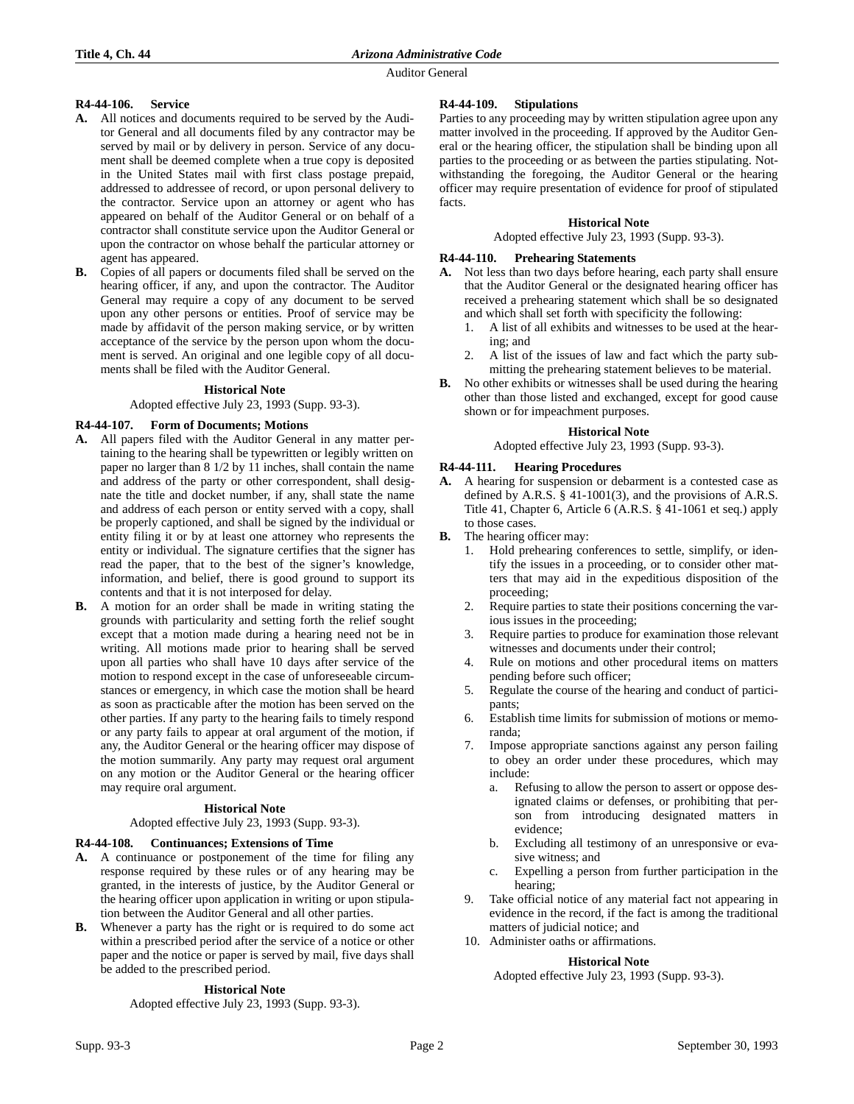Auditor General

# **R4-44-106. Service**

- **A.** All notices and documents required to be served by the Auditor General and all documents filed by any contractor may be served by mail or by delivery in person. Service of any document shall be deemed complete when a true copy is deposited in the United States mail with first class postage prepaid, addressed to addressee of record, or upon personal delivery to the contractor. Service upon an attorney or agent who has appeared on behalf of the Auditor General or on behalf of a contractor shall constitute service upon the Auditor General or upon the contractor on whose behalf the particular attorney or agent has appeared.
- **B.** Copies of all papers or documents filed shall be served on the hearing officer, if any, and upon the contractor. The Auditor General may require a copy of any document to be served upon any other persons or entities. Proof of service may be made by affidavit of the person making service, or by written acceptance of the service by the person upon whom the document is served. An original and one legible copy of all documents shall be filed with the Auditor General.

# **Historical Note**

Adopted effective July 23, 1993 (Supp. 93-3).

### **R4-44-107. Form of Documents; Motions**

- **A.** All papers filed with the Auditor General in any matter pertaining to the hearing shall be typewritten or legibly written on paper no larger than 8 1/2 by 11 inches, shall contain the name and address of the party or other correspondent, shall designate the title and docket number, if any, shall state the name and address of each person or entity served with a copy, shall be properly captioned, and shall be signed by the individual or entity filing it or by at least one attorney who represents the entity or individual. The signature certifies that the signer has read the paper, that to the best of the signer's knowledge, information, and belief, there is good ground to support its contents and that it is not interposed for delay.
- **B.** A motion for an order shall be made in writing stating the grounds with particularity and setting forth the relief sought except that a motion made during a hearing need not be in writing. All motions made prior to hearing shall be served upon all parties who shall have 10 days after service of the motion to respond except in the case of unforeseeable circumstances or emergency, in which case the motion shall be heard as soon as practicable after the motion has been served on the other parties. If any party to the hearing fails to timely respond or any party fails to appear at oral argument of the motion, if any, the Auditor General or the hearing officer may dispose of the motion summarily. Any party may request oral argument on any motion or the Auditor General or the hearing officer may require oral argument.

#### **Historical Note**

Adopted effective July 23, 1993 (Supp. 93-3).

#### **R4-44-108. Continuances; Extensions of Time**

- **A.** A continuance or postponement of the time for filing any response required by these rules or of any hearing may be granted, in the interests of justice, by the Auditor General or the hearing officer upon application in writing or upon stipulation between the Auditor General and all other parties.
- **B.** Whenever a party has the right or is required to do some act within a prescribed period after the service of a notice or other paper and the notice or paper is served by mail, five days shall be added to the prescribed period.

#### **Historical Note**

Adopted effective July 23, 1993 (Supp. 93-3).

### **R4-44-109. Stipulations**

Parties to any proceeding may by written stipulation agree upon any matter involved in the proceeding. If approved by the Auditor General or the hearing officer, the stipulation shall be binding upon all parties to the proceeding or as between the parties stipulating. Notwithstanding the foregoing, the Auditor General or the hearing officer may require presentation of evidence for proof of stipulated facts.

### **Historical Note**

Adopted effective July 23, 1993 (Supp. 93-3).

# **R4-44-110. Prehearing Statements**

- **A.** Not less than two days before hearing, each party shall ensure that the Auditor General or the designated hearing officer has received a prehearing statement which shall be so designated and which shall set forth with specificity the following:
	- 1. A list of all exhibits and witnesses to be used at the hearing; and
	- 2. A list of the issues of law and fact which the party submitting the prehearing statement believes to be material.
- **B.** No other exhibits or witnesses shall be used during the hearing other than those listed and exchanged, except for good cause shown or for impeachment purposes.

### **Historical Note**

Adopted effective July 23, 1993 (Supp. 93-3).

#### **R4-44-111. Hearing Procedures**

- **A.** A hearing for suspension or debarment is a contested case as defined by A.R.S. § 41-1001(3), and the provisions of A.R.S. Title 41, Chapter 6, Article 6 (A.R.S. § 41-1061 et seq.) apply to those cases.
- **B.** The hearing officer may:
	- 1. Hold prehearing conferences to settle, simplify, or identify the issues in a proceeding, or to consider other matters that may aid in the expeditious disposition of the proceeding;
	- 2. Require parties to state their positions concerning the various issues in the proceeding;
	- 3. Require parties to produce for examination those relevant witnesses and documents under their control;
	- 4. Rule on motions and other procedural items on matters pending before such officer;
	- 5. Regulate the course of the hearing and conduct of participants;
	- 6. Establish time limits for submission of motions or memoranda;
	- 7. Impose appropriate sanctions against any person failing to obey an order under these procedures, which may include:
		- a. Refusing to allow the person to assert or oppose designated claims or defenses, or prohibiting that person from introducing designated matters in evidence;
		- b. Excluding all testimony of an unresponsive or evasive witness; and
		- c. Expelling a person from further participation in the hearing;
	- 9. Take official notice of any material fact not appearing in evidence in the record, if the fact is among the traditional matters of judicial notice; and
	- 10. Administer oaths or affirmations.

#### **Historical Note**

Adopted effective July 23, 1993 (Supp. 93-3).